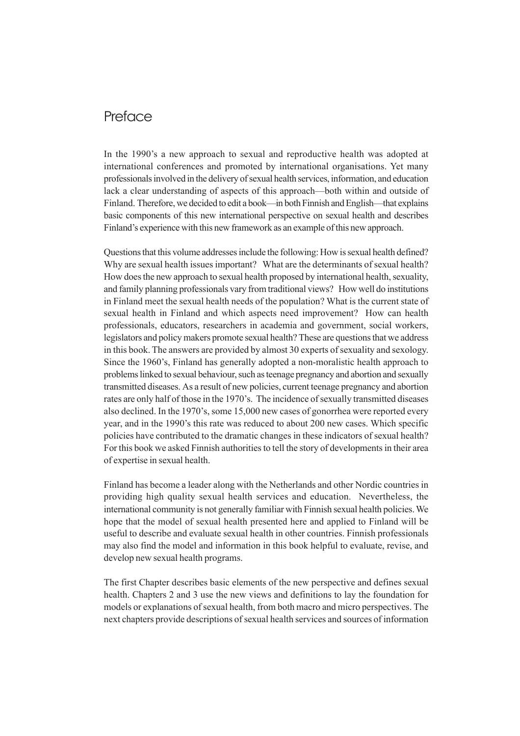## **Preface**

In the 1990's a new approach to sexual and reproductive health was adopted at international conferences and promoted by international organisations. Yet many professionals involved in the delivery of sexual health services, information, and education lack a clear understanding of aspects of this approach—both within and outside of Finland. Therefore, we decided to edit a book—in both Finnish and English—that explains basic components of this new international perspective on sexual health and describes Finland's experience with this new framework as an example of this new approach.

Questions that this volume addresses include the following: How is sexual health defined? Why are sexual health issues important? What are the determinants of sexual health? How does the new approach to sexual health proposed by international health, sexuality, and family planning professionals vary from traditional views? How well do institutions in Finland meet the sexual health needs of the population? What is the current state of sexual health in Finland and which aspects need improvement? How can health professionals, educators, researchers in academia and government, social workers, legislators and policy makers promote sexual health? These are questions that we address in this book. The answers are provided by almost 30 experts of sexuality and sexology. Since the 1960's, Finland has generally adopted a non-moralistic health approach to problems linked to sexual behaviour, such as teenage pregnancy and abortion and sexually transmitted diseases. As a result of new policies, current teenage pregnancy and abortion rates are only half of those in the 1970's. The incidence of sexually transmitted diseases also declined. In the 1970's, some 15,000 new cases of gonorrhea were reported every year, and in the 1990's this rate was reduced to about 200 new cases. Which specific policies have contributed to the dramatic changes in these indicators of sexual health? For this book we asked Finnish authorities to tell the story of developments in their area of expertise in sexual health.

Finland has become a leader along with the Netherlands and other Nordic countries in providing high quality sexual health services and education. Nevertheless, the international community is not generally familiar with Finnish sexual health policies. We hope that the model of sexual health presented here and applied to Finland will be useful to describe and evaluate sexual health in other countries. Finnish professionals may also find the model and information in this book helpful to evaluate, revise, and develop new sexual health programs.

The first Chapter describes basic elements of the new perspective and defines sexual health. Chapters 2 and 3 use the new views and definitions to lay the foundation for models or explanations of sexual health, from both macro and micro perspectives. The next chapters provide descriptions of sexual health services and sources of information